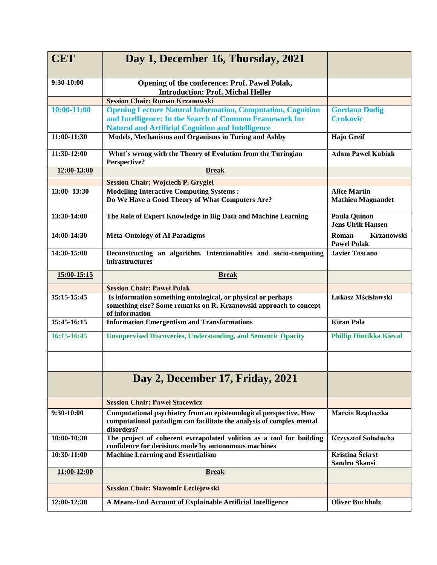| <b>CET</b>    | Day 1, December 16, Thursday, 2021                                                                                                                                                        |                                                  |
|---------------|-------------------------------------------------------------------------------------------------------------------------------------------------------------------------------------------|--------------------------------------------------|
| 9:30-10:00    | Opening of the conference: Prof. Pawel Polak,<br><b>Introduction: Prof. Michal Heller</b>                                                                                                 |                                                  |
|               | <b>Session Chair: Roman Krzanowski</b>                                                                                                                                                    |                                                  |
| $10:00-11:00$ | <b>Opening Lecture Natural Information, Computation, Cognition</b><br>and Intelligence: In the Search of Common Framework for<br><b>Natural and Artificial Cognition and Intelligence</b> | <b>Gordana Dodig</b><br><b>Crnkovic</b>          |
| 11:00-11:30   | Models, Mechanisms and Organisms in Turing and Ashby                                                                                                                                      | Hajo Greif                                       |
| 11:30-12:00   | What's wrong with the Theory of Evolution from the Turingian<br>Perspective?                                                                                                              | <b>Adam Pawel Kubiak</b>                         |
| 12:00-13:00   | <b>Break</b>                                                                                                                                                                              |                                                  |
|               | <b>Session Chair: Wojciech P. Grygiel</b>                                                                                                                                                 |                                                  |
| 13:00-13:30   | <b>Modelling Interactive Computing Systems:</b><br>Do We Have a Good Theory of What Computers Are?                                                                                        | <b>Alice Martin</b><br><b>Mathieu Magnaudet</b>  |
| 13:30-14:00   | The Role of Expert Knowledge in Big Data and Machine Learning                                                                                                                             | <b>Paula Quinon</b><br><b>Jens Ulrik Hansen</b>  |
| 14:00-14:30   | <b>Meta-Ontology of AI Paradigms</b>                                                                                                                                                      | <b>Krzanowski</b><br>Roman<br><b>Pawel Polak</b> |
| 14:30-15:00   | Deconstructing an algorithm. Intentionalities and socio-computing<br>infrastructures                                                                                                      | <b>Javier Toscano</b>                            |
| 15:00-15:15   | <b>Break</b>                                                                                                                                                                              |                                                  |
|               | <b>Session Chair: Pawel Polak</b>                                                                                                                                                         |                                                  |
| 15:15-15:45   | Is information something ontological, or physical or perhaps<br>something else? Some remarks on R. Krzanowski approach to concept<br>of information                                       | Łukasz Mścisławski                               |
| 15:45-16:15   | <b>Information Emergentism and Transformations</b>                                                                                                                                        | <b>Kiran Pala</b>                                |
| 16:15-16:45   | <b>Unsupervised Discoveries, Understanding, and Semantic Opacity</b>                                                                                                                      | <b>Phillip Hintikka Kieval</b>                   |
|               |                                                                                                                                                                                           |                                                  |
|               | Day 2, December 17, Friday, 2021                                                                                                                                                          |                                                  |
|               | <b>Session Chair: Pawel Stacewicz</b>                                                                                                                                                     |                                                  |
| 9:30-10:00    | Computational psychiatry from an epistemological perspective. How<br>computational paradigm can facilitate the analysis of complex mental<br>disorders?                                   | Marcin Rządeczka                                 |
| 10:00-10:30   | The project of coherent extrapolated volition as a tool for building<br>confidence for decisions made by autonomous machines                                                              | <b>Krzysztof Sołoducha</b>                       |
| 10:30-11:00   | <b>Machine Learning and Essentialism</b>                                                                                                                                                  | Kristina Šekrst<br><b>Sandro Skansi</b>          |
| 11:00-12:00   | <b>Break</b>                                                                                                                                                                              |                                                  |
|               | <b>Session Chair: Sławomir Leciejewski</b>                                                                                                                                                |                                                  |
| 12:00-12:30   | A Means-End Account of Explainable Artificial Intelligence                                                                                                                                | <b>Oliver Buchholz</b>                           |